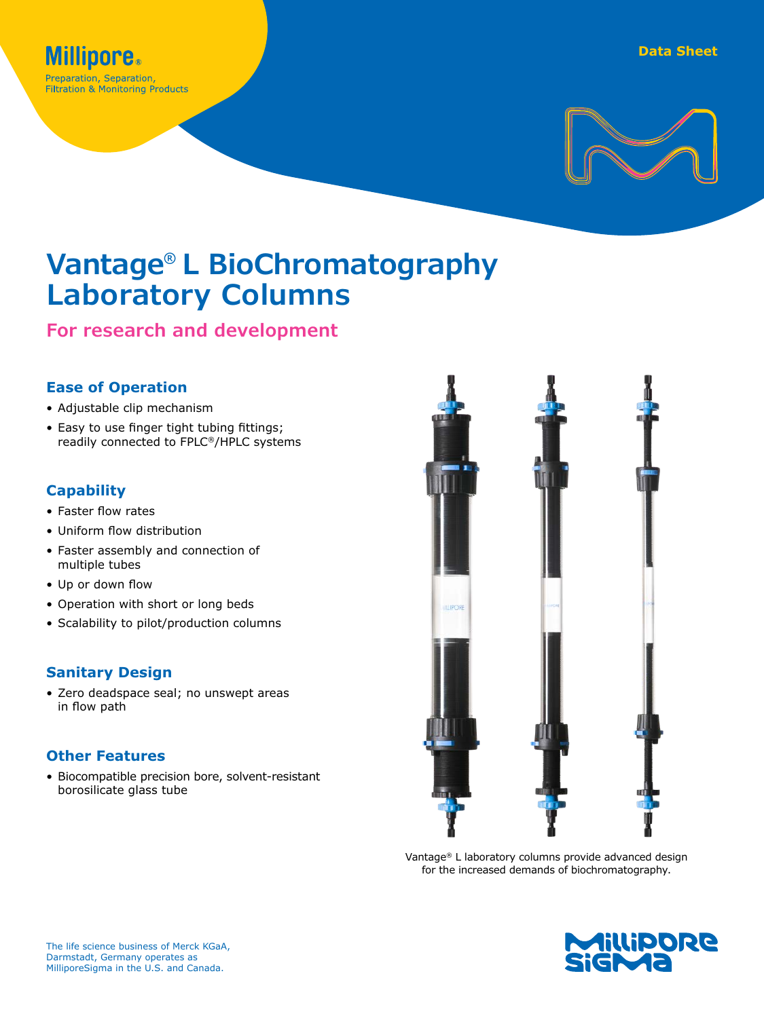

# **Vantage® L BioChromatography Laboratory Columns**

**For research and development**

#### **Ease of Operation**

- Adjustable clip mechanism
- Easy to use finger tight tubing fittings; readily connected to FPLC®/HPLC systems

# **Capability**

- Faster flow rates
- Uniform flow distribution
- Faster assembly and connection of multiple tubes
- Up or down flow
- Operation with short or long beds
- Scalability to pilot/production columns

# **Sanitary Design**

• Zero deadspace seal; no unswept areas in flow path

# **Other Features**

• Biocompatible precision bore, solvent-resistant borosilicate glass tube



Vantage® L laboratory columns provide advanced design for the increased demands of biochromatography.

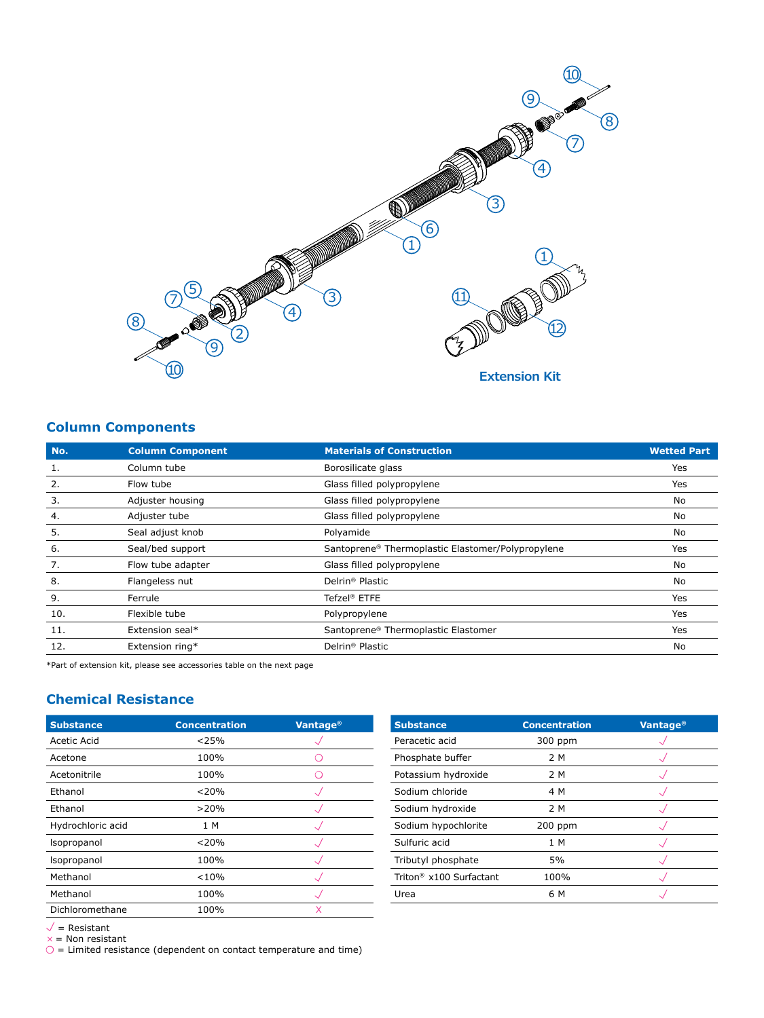

# **Column Components**

| No. | <b>Column Component</b> | <b>Materials of Construction</b>                  | <b>Wetted Part</b> |
|-----|-------------------------|---------------------------------------------------|--------------------|
| 1.  | Column tube             | Borosilicate glass                                | Yes                |
| 2.  | Flow tube               | Glass filled polypropylene                        | Yes                |
| 3.  | Adjuster housing        | Glass filled polypropylene                        | No                 |
| 4.  | Adjuster tube           | Glass filled polypropylene                        | No                 |
| 5.  | Seal adjust knob        | Polyamide                                         | No                 |
| 6.  | Seal/bed support        | Santoprene® Thermoplastic Elastomer/Polypropylene | Yes                |
| 7.  | Flow tube adapter       | Glass filled polypropylene                        | No                 |
| 8.  | Flangeless nut          | Delrin <sup>®</sup> Plastic                       | No                 |
| 9.  | Ferrule                 | Tefzel <sup>®</sup> ETFE                          | Yes                |
| 10. | Flexible tube           | Polypropylene                                     | Yes                |
| 11. | Extension seal*         | Santoprene® Thermoplastic Elastomer               | Yes                |
| 12. | Extension ring*         | Delrin <sup>®</sup> Plastic                       | No                 |

\*Part of extension kit, please see accessories table on the next page

#### **Chemical Resistance**

| <b>Substance</b>  | <b>Concentration</b> | Vantage <sup>®</sup> | <b>Substance</b>                    | <b>Concentration</b> | Vantage® |
|-------------------|----------------------|----------------------|-------------------------------------|----------------------|----------|
| Acetic Acid       | < 25%                |                      | Peracetic acid                      | 300 ppm              |          |
| Acetone           | 100%                 |                      | Phosphate buffer                    | 2 M                  |          |
| Acetonitrile      | 100%                 |                      | Potassium hydroxide                 | 2 M                  |          |
| Ethanol           | < 20%                |                      | Sodium chloride                     | 4 M                  |          |
| Ethanol           | >20%                 |                      | Sodium hydroxide                    | 2 M                  |          |
| Hydrochloric acid | 1 M                  |                      | Sodium hypochlorite                 | $200$ ppm            |          |
| Isopropanol       | < 20%                |                      | Sulfuric acid                       | 1 M                  |          |
| Isopropanol       | 100%                 |                      | Tributyl phosphate                  | 5%                   |          |
| Methanol          | < 10%                |                      | Triton <sup>®</sup> x100 Surfactant | 100%                 |          |
| Methanol          | 100%                 |                      | Urea                                | 6 M                  |          |
| Dichloromethane   | 100%                 | X                    |                                     |                      |          |

| <b>Substance</b>                    | <b>Concentration</b> | <b>Vantage<sup>®</sup></b> |
|-------------------------------------|----------------------|----------------------------|
| Peracetic acid                      | 300 ppm              |                            |
| Phosphate buffer                    | 2 M                  |                            |
| Potassium hydroxide                 | 2 M                  |                            |
| Sodium chloride                     | 4 M                  |                            |
| Sodium hydroxide                    | 2 M                  |                            |
| Sodium hypochlorite                 | $200$ ppm            |                            |
| Sulfuric acid                       | 1 M                  |                            |
| Tributyl phosphate                  | 5%                   |                            |
| Triton <sup>®</sup> x100 Surfactant | 100%                 |                            |
| Urea                                | 6 M                  |                            |

= Resistant

 $\times$  = Non resistant<br>○ = Limited resistance (dependent on contact temperature and time)